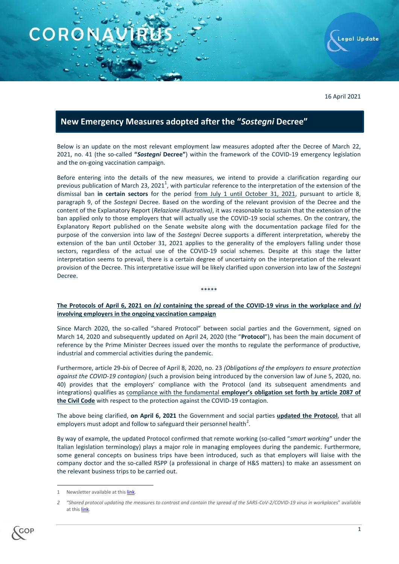

16 April 2021

## **New Emergency Measures adopted after the "***Sostegni* **Decree"**

Below is an update on the most relevant employment law measures adopted after the Decree of March 22, 2021, no. 41 (the so-called **"***Sostegni* **Decree"**) within the framework of the COVID-19 emergency legislation and the on-going vaccination campaign.

Before entering into the details of the new measures, we intend to provide a clarification regarding our previous publication of March 23, 2021<sup>1</sup>, with particular reference to the interpretation of the extension of the dismissal ban **in certain sectors** for the period from July 1 until October 31, 2021, pursuant to article 8, paragraph 9, of the *Sostegni* Decree. Based on the wording of the relevant provision of the Decree and the content of the Explanatory Report (*Relazione illustrativa)*, it was reasonable to sustain that the extension of the ban applied only to those employers that will actually use the COVID-19 social schemes. On the contrary, the Explanatory Report published on the Senate website along with the documentation package filed for the purpose of the conversion into law of the *Sostegni* Decree supports a different interpretation, whereby the extension of the ban until October 31, 2021 applies to the generality of the employers falling under those sectors, regardless of the actual use of the COVID-19 social schemes. Despite at this stage the latter interpretation seems to prevail, there is a certain degree of uncertainty on the interpretation of the relevant provision of the Decree. This interpretative issue will be likely clarified upon conversion into law of the *Sostegni* Decree.

## **The Protocols of April 6, 2021 on** *(x)* **containing the spread of the COVID-19 virus in the workplace and** *(y)*  **involving employers in the ongoing vaccination campaign**

\*\*\*\*\*

Since March 2020, the so-called "shared Protocol" between social parties and the Government, signed on March 14, 2020 and subsequently updated on April 24, 2020 (the "**Protocol**"), has been the main document of reference by the Prime Minister Decrees issued over the months to regulate the performance of productive, industrial and commercial activities during the pandemic.

Furthermore, article 29-*bis* of Decree of April 8, 2020, no. 23 *(Obligations of the employers to ensure protection against the COVID-19 contagion)* (such a provision being introduced by the conversion law of June 5, 2020, no. 40) provides that the employers' compliance with the Protocol (and its subsequent amendments and integrations) qualifies as compliance with the fundamental **employer's obligation set forth by article 2087 of the Civil Code** with respect to the protection against the COVID-19 contagion.

The above being clarified, **on April 6, 2021** the Government and social parties **updated the Protocol**, that all employers must adopt and follow to safeguard their personnel health<sup>2</sup>.

By way of example, the updated Protocol confirmed that remote working (so-called "*smart working*" under the Italian legislation terminology) plays a major role in managing employees during the pandemic. Furthermore, some general concepts on business trips have been introduced, such as that employers will liaise with the company doctor and the so-called RSPP (a professional in charge of H&S matters) to make an assessment on the relevant business trips to be carried out.

1

*<sup>2</sup> "Shared protocol updating the measures to contrast and contain the spread of the SARS-CoV-2/COVID-19 virus in workplaces*" available at thi[s link.](http://www.gop.it/doc_covid/147.pdf)



Newsletter available at thi[s link.](http://www.gop.it/doc_pubblicazioni/901_httouh0ga6_eng.pdf)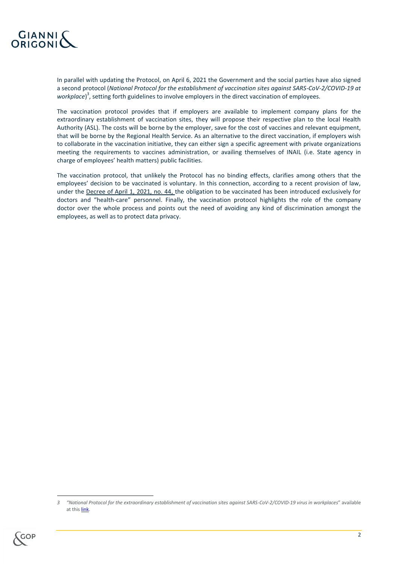

In parallel with updating the Protocol, on April 6, 2021 the Government and the social parties have also signed a second protocol (*National Protocol for the establishment of vaccination sites against SARS-CoV-2/COVID-19 at*  workplace)<sup>3</sup>, setting forth guidelines to involve employers in the direct vaccination of employees.

The vaccination protocol provides that if employers are available to implement company plans for the extraordinary establishment of vaccination sites, they will propose their respective plan to the local Health Authority (ASL). The costs will be borne by the employer, save for the cost of vaccines and relevant equipment, that will be borne by the Regional Health Service. As an alternative to the direct vaccination, if employers wish to collaborate in the vaccination initiative, they can either sign a specific agreement with private organizations meeting the requirements to vaccines administration, or availing themselves of INAIL (i.e. State agency in charge of employees' health matters) public facilities.

The vaccination protocol, that unlikely the Protocol has no binding effects, clarifies among others that the employees' decision to be vaccinated is voluntary. In this connection, according to a recent provision of law, under the Decree of April 1, 2021, no. 44, the obligation to be vaccinated has been introduced exclusively for doctors and "health-care" personnel. Finally, the vaccination protocol highlights the role of the company doctor over the whole process and points out the need of avoiding any kind of discrimination amongst the employees, as well as to protect data privacy.

*<sup>3</sup> "National Protocol for the extraordinary establishment of vaccination sites against SARS-CoV-2/COVID-19 virus in workplaces*" available at thi[s link.](http://www.gop.it/doc_covid/148.pdf)



**.**